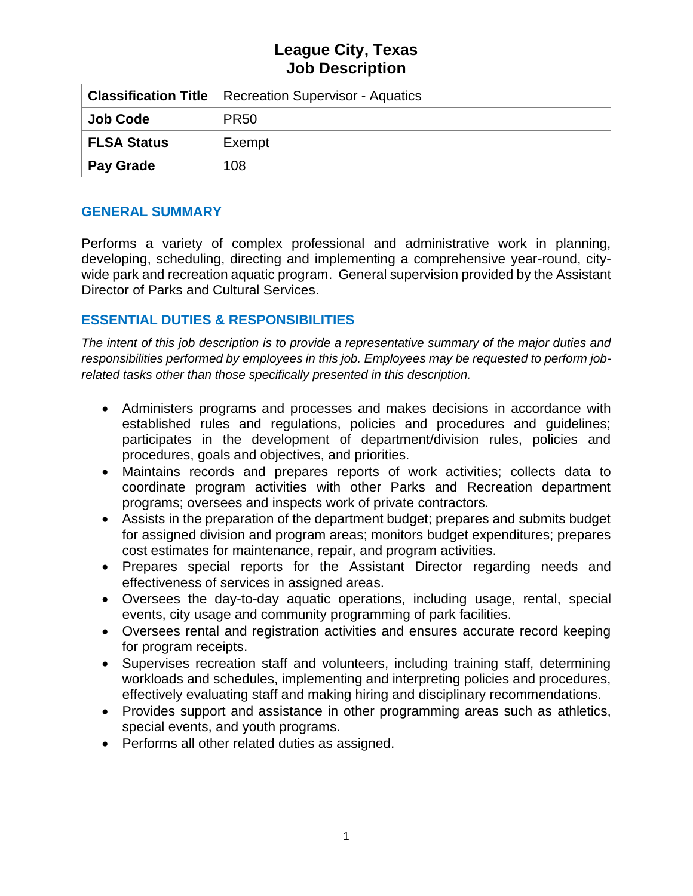|                    | <b>Classification Title</b>   Recreation Supervisor - Aquatics |  |
|--------------------|----------------------------------------------------------------|--|
| <b>Job Code</b>    | <b>PR50</b>                                                    |  |
| <b>FLSA Status</b> | Exempt                                                         |  |
| Pay Grade          | 108                                                            |  |

#### **GENERAL SUMMARY**

Performs a variety of complex professional and administrative work in planning, developing, scheduling, directing and implementing a comprehensive year-round, citywide park and recreation aquatic program. General supervision provided by the Assistant Director of Parks and Cultural Services.

## **ESSENTIAL DUTIES & RESPONSIBILITIES**

*The intent of this job description is to provide a representative summary of the major duties and responsibilities performed by employees in this job. Employees may be requested to perform jobrelated tasks other than those specifically presented in this description.*

- Administers programs and processes and makes decisions in accordance with established rules and regulations, policies and procedures and guidelines; participates in the development of department/division rules, policies and procedures, goals and objectives, and priorities.
- Maintains records and prepares reports of work activities; collects data to coordinate program activities with other Parks and Recreation department programs; oversees and inspects work of private contractors.
- Assists in the preparation of the department budget; prepares and submits budget for assigned division and program areas; monitors budget expenditures; prepares cost estimates for maintenance, repair, and program activities.
- Prepares special reports for the Assistant Director regarding needs and effectiveness of services in assigned areas.
- Oversees the day-to-day aquatic operations, including usage, rental, special events, city usage and community programming of park facilities.
- Oversees rental and registration activities and ensures accurate record keeping for program receipts.
- Supervises recreation staff and volunteers, including training staff, determining workloads and schedules, implementing and interpreting policies and procedures, effectively evaluating staff and making hiring and disciplinary recommendations.
- Provides support and assistance in other programming areas such as athletics, special events, and youth programs.
- Performs all other related duties as assigned.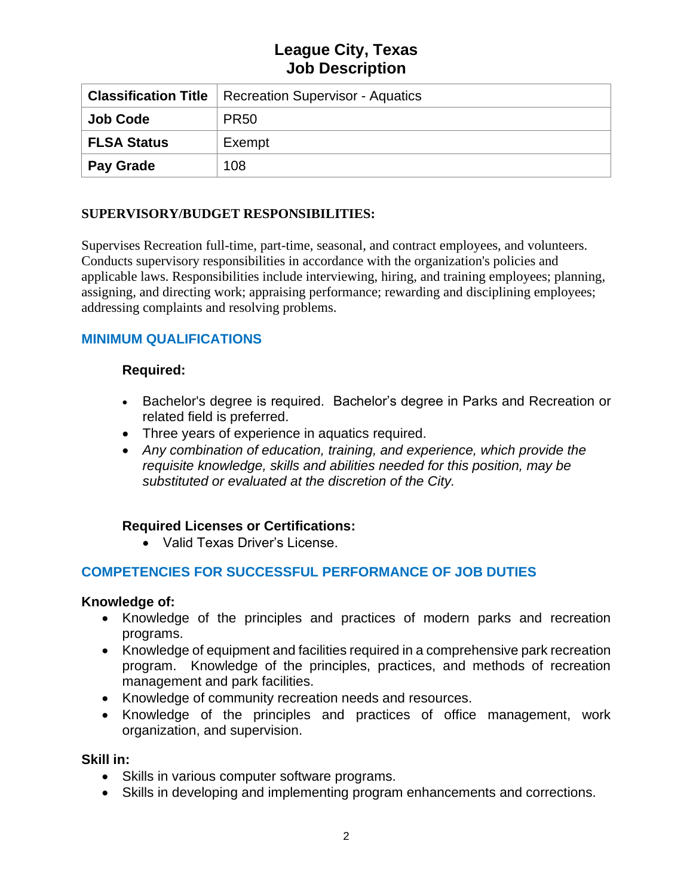|                    | <b>Classification Title</b>   Recreation Supervisor - Aquatics |  |
|--------------------|----------------------------------------------------------------|--|
| <b>Job Code</b>    | <b>PR50</b>                                                    |  |
| <b>FLSA Status</b> | Exempt                                                         |  |
| Pay Grade          | 108                                                            |  |

### **SUPERVISORY/BUDGET RESPONSIBILITIES:**

Supervises Recreation full-time, part-time, seasonal, and contract employees, and volunteers. Conducts supervisory responsibilities in accordance with the organization's policies and applicable laws. Responsibilities include interviewing, hiring, and training employees; planning, assigning, and directing work; appraising performance; rewarding and disciplining employees; addressing complaints and resolving problems.

## **MINIMUM QUALIFICATIONS**

### **Required:**

- Bachelor's degree is required. Bachelor's degree in Parks and Recreation or related field is preferred.
- Three years of experience in aquatics required.
- *Any combination of education, training, and experience, which provide the requisite knowledge, skills and abilities needed for this position, may be substituted or evaluated at the discretion of the City.*

## **Required Licenses or Certifications:**

• Valid Texas Driver's License.

## **COMPETENCIES FOR SUCCESSFUL PERFORMANCE OF JOB DUTIES**

#### **Knowledge of:**

- Knowledge of the principles and practices of modern parks and recreation programs.
- Knowledge of equipment and facilities required in a comprehensive park recreation program. Knowledge of the principles, practices, and methods of recreation management and park facilities.
- Knowledge of community recreation needs and resources.
- Knowledge of the principles and practices of office management, work organization, and supervision.

#### **Skill in:**

- Skills in various computer software programs.
- Skills in developing and implementing program enhancements and corrections.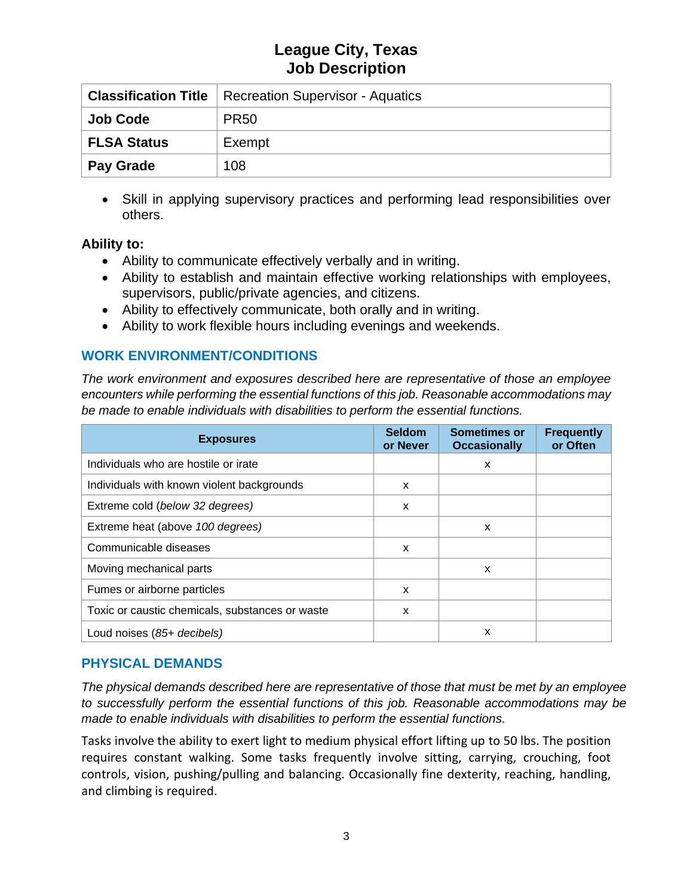|                    | <b>Classification Title</b>   Recreation Supervisor - Aquatics |  |
|--------------------|----------------------------------------------------------------|--|
| <b>Job Code</b>    | PR <sub>50</sub>                                               |  |
| <b>FLSA Status</b> | Exempt                                                         |  |
| <b>Pay Grade</b>   | 108                                                            |  |

• Skill in applying supervisory practices and performing lead responsibilities over others.

#### **Ability to:**

- Ability to communicate effectively verbally and in writing.
- Ability to establish and maintain effective working relationships with employees, supervisors, public/private agencies, and citizens.
- Ability to effectively communicate, both orally and in writing.
- Ability to work flexible hours including evenings and weekends.

## **WORK ENVIRONMENT/CONDITIONS**

*The work environment and exposures described here are representative of those an employee encounters while performing the essential functions of this job. Reasonable accommodations may be made to enable individuals with disabilities to perform the essential functions.*

| <b>Exposures</b>                                | <b>Seldom</b><br>or Never | <b>Sometimes or</b><br><b>Occasionally</b> | <b>Frequently</b><br>or Often |
|-------------------------------------------------|---------------------------|--------------------------------------------|-------------------------------|
| Individuals who are hostile or irate            |                           | x                                          |                               |
| Individuals with known violent backgrounds      | X                         |                                            |                               |
| Extreme cold (below 32 degrees)                 | X                         |                                            |                               |
| Extreme heat (above 100 degrees)                |                           | X                                          |                               |
| Communicable diseases                           | x                         |                                            |                               |
| Moving mechanical parts                         |                           | X                                          |                               |
| Fumes or airborne particles                     | x                         |                                            |                               |
| Toxic or caustic chemicals, substances or waste | x                         |                                            |                               |
| Loud noises (85+ decibels)                      |                           | X                                          |                               |

#### **PHYSICAL DEMANDS**

*The physical demands described here are representative of those that must be met by an employee to successfully perform the essential functions of this job. Reasonable accommodations may be made to enable individuals with disabilities to perform the essential functions.*

Tasks involve the ability to exert light to medium physical effort lifting up to 50 lbs. The position requires constant walking. Some tasks frequently involve sitting, carrying, crouching, foot controls, vision, pushing/pulling and balancing. Occasionally fine dexterity, reaching, handling, and climbing is required.